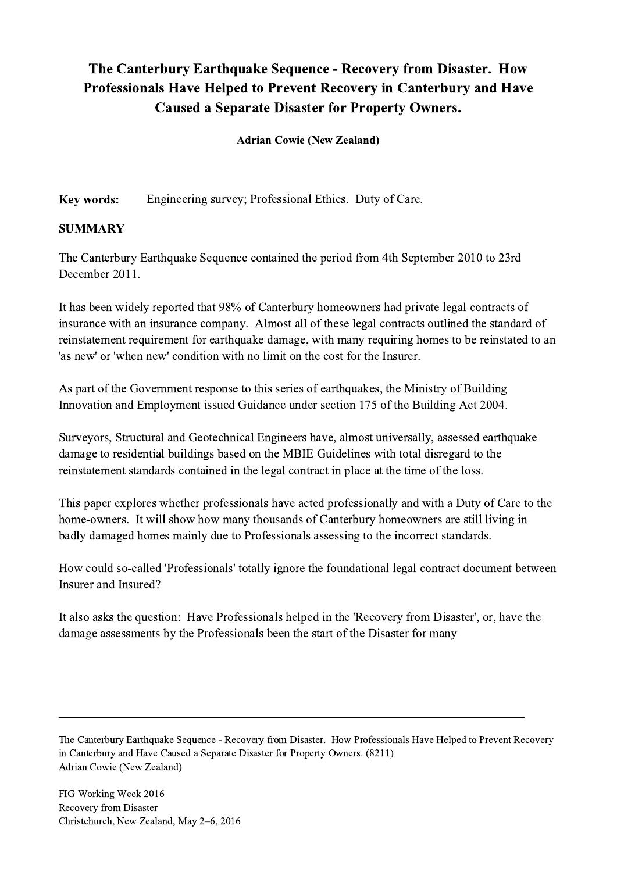## The Canterbury Earthquake Sequence - Recovery from Disaster. How Professionals Have Helped to Prevent Recovery in Canterbury and Have Caused a Separate Disaster for Property Owners.

Adrian Cowie (New Zealand)

Key words: Engineering survey; Professional Ethics. Duty of Care.

## SUMMARY

The Canterbury Earthquake Sequence contained the period from 4th September 2010 to 23rd December 2011.

It has been widely reported that 98% of Canterbury homeowners had private legal contracts of insurance with an insurance company. Almost all of these legal contracts outlined the standard of reinstatement requirement for earthquake damage, with many requiring homes to be reinstated to an 'as new' or 'when new' condition with no limit on the cost for the Insurer.

As part of the Government response to this series of earthquakes, the Ministry of Building Innovation and Employment issued Guidance under section 175 of the Building Act 2004.

Surveyors, Structural and Geotechnical Engineers have, almost universally, assessed earthquake damage to residential buildings based on the MBIE Guidelines with total disregard to the reinstatement standards contained in the legal contract in place at the time of the loss.

This paper explores whether professionals have acted professionally and with a Duty of Care to the home-owners. It will show how many thousands of Canterbury homeowners are still living in badly damaged homes mainly due to Professionals assessing to the incorrect standards.

How could so-called 'Professionals' totally ignore the foundational legal contract document between Insurer and Insured?

It also asks the question: Have Professionals helped in the 'Recovery from Disaster', or, have the damage assessments by the Professionals been the start of the Disaster for many

The Canterbury Earthquake Sequence - Recovery from Disaster. How Professionals Have Helped to Prevent Recovery in Canterbury and Have Caused a Separate Disaster for Property Owners. (8211) Adrian Cowie (New Zealand)

 $\mathcal{L}_\mathcal{L} = \{ \mathcal{L}_\mathcal{L} = \{ \mathcal{L}_\mathcal{L} = \{ \mathcal{L}_\mathcal{L} = \{ \mathcal{L}_\mathcal{L} = \{ \mathcal{L}_\mathcal{L} = \{ \mathcal{L}_\mathcal{L} = \{ \mathcal{L}_\mathcal{L} = \{ \mathcal{L}_\mathcal{L} = \{ \mathcal{L}_\mathcal{L} = \{ \mathcal{L}_\mathcal{L} = \{ \mathcal{L}_\mathcal{L} = \{ \mathcal{L}_\mathcal{L} = \{ \mathcal{L}_\mathcal{L} = \{ \mathcal{L}_\mathcal{$ 

FIG Working Week 2016 Recovery from Disaster Christchurch, New Zealand, May 2–6, 2016